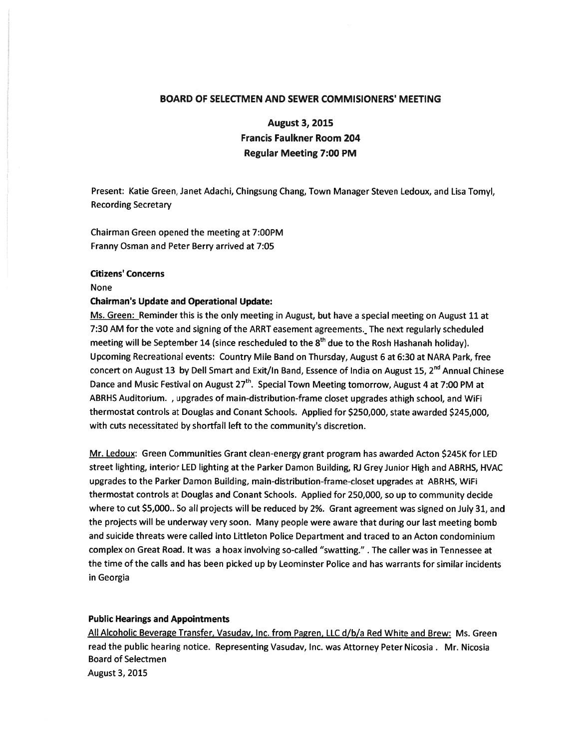### BOARD OF SELECTMEN AND SEWER COMMISIONERS' MEETING

August 3, 2015 Francis Faulkner Room 204 Regular Meeting 7:00 PM

Present: Katie Green, Janet Adachi, Chingsung Chang, Town Manager Steven Ledoux, and Lisa Tomyl, **Recording Secretary** 

Chairman Green opened the meeting at 7:00PM Franny Osman and Peter Berry arrived at 7:05

#### Citizens' Concerns

#### None

#### Chairman's Update and Operational Update:

Ms. Green: Reminder this is the only meeting in August, but have <sup>a</sup> special meeting on August 11 at 7:30 AM for the vote and signing of the ARRT easement agreements. The next regularly scheduled meeting will be September 14 (since rescheduled to the  $8<sup>th</sup>$  due to the Rosh Hashanah holiday). Upcoming Recreational events: Country Mile Band on Thursday, August 6 at 6:30 at NARA Park, free concert on August 13 by Dell Smart and Exit/In Band, Essence of India on August 15,  $2^{nd}$  Annual Chinese Dance and Music Festival on August 27<sup>th</sup>. Special Town Meeting tomorrow, August 4 at 7:00 PM at ABRHS Auditorium. , upgrades of main-distribution-frame closet upgrades athigh school, and WiFi thermostat controls at Douglas and Conant Schools. Applied for \$250,000, state awarded \$245,000, with cuts necessitated by shortfall left to the community's discretion.

Mr. Ledoux: Green Communities Grant clean-energy gran<sup>t</sup> program has awarded Acton \$245K for LED street lighting, interior LED lighting at the Parker Damon Building, Ri Grey Junior High and ABRHS, HVAC upgrades to the Parker Damon Building, main-distribution-frame-closet upgrades at ABRHS, WiFi thermostat controls at Douglas and Conant Schools. Applied for 250,000, so up to community decide where to cut \$5,000.. So all projects will be reduced by 2%. Grant agreemen<sup>t</sup> was signed on July 31, and the projects will be underway very soon. Many people were aware that during our last meeting bomb and suicide threats were called into Littleton Police Department and traced to an Acton condominium complex on Great Road. It was <sup>a</sup> hoax involving so-called "swatting." . The caller was in Tennessee at the time of the calls and has been picked up by Leominster Police and has warrants for similar incidents in Georgia

#### Public Hearings and Appointments

All Alcoholic Beverage Transfer, Vasudav, Inc. from Pagren, LLC d/b/a Red White and Brew: Ms. Green read the public hearing notice. Representing Vasudav, Inc. was Attorney Peter Nicosia . Mr. Nicosia Board of Selectmen August 3, 2015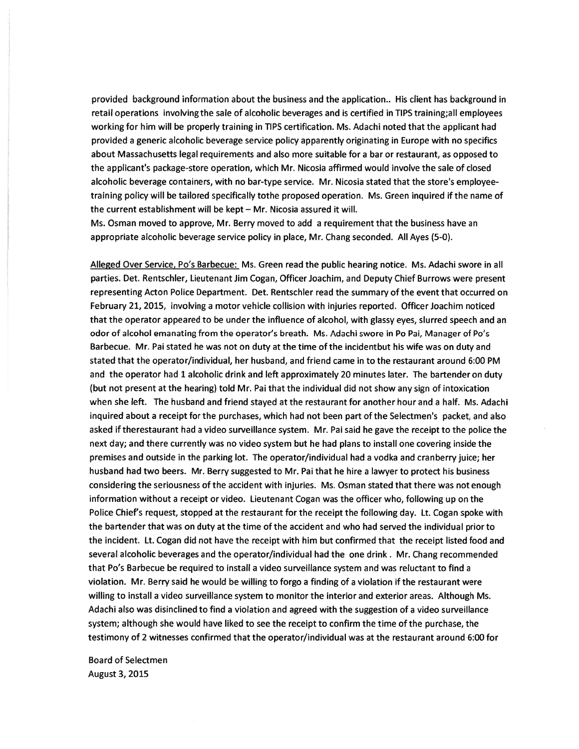provided background information about the business and the application.. His client has background in retail operations involving the sale of alcoholic beverages and is certified in TIPS training;all employees working for him will be properly training in TIPS certification. Ms. Adachi noted that the applicant had provided <sup>a</sup> generic alcoholic beverage service policy apparently originating in Europe with no specifics about Massachusetts legal requirements and also more suitable for <sup>a</sup> bar or restaurant, as opposed to the applicant's package-store operation, which Mr. Nicosia affirmed would involve the sale of closed alcoholic beverage containers, with no bar-type service. Mr. Nicosia stated that the store's employeetraining policy will be tailored specifically tothe proposed operation. Ms. Green inquired if the name of the current establishment will be kept — Mr. Nicosia assured it will.

Ms. Osman moved to approve, Mr. Berry moved to add <sup>a</sup> requirement that the business have an appropriate alcoholic beverage service policy in place, Mr. Chang seconded. All Ayes (5-0).

Alleged Over Service, Po's Barbecue: Ms. Green read the public hearing notice. Ms. Adachi swore in all parties. Det. Rentschler, Lieutenant Jim Cogan, Officer Joachim, and Deputy Chief Burrows were presen<sup>t</sup> representing Acton Police Department. Det. Rentschler read the summary of the event that occurred on February 21, 2015, involving <sup>a</sup> motor vehicle collision with injuries reported. Officer Joachim noticed that the operator appeared to be under the influence of alcohol, with glassy eyes, slurred speech and an odor of alcohol emanating from the operator's breath. Ms. Adachi swore in Po Pai, Manager of Po's Barbecue. Mr. Pai stated he was not on duty at the time of the incidentbut his wife was on duty and stated that the operator/individual, her husband, and friend came in to the restaurant around 6:00 PM and the operator had 1 alcoholic drink and left approximately 20 minutes later. The bartender on duty (but not presen<sup>t</sup> at the hearing) told Mr. Pai that the individual did not show any sign of intoxication when she left. The husband and friend stayed at the restaurant for another hour and <sup>a</sup> half. Ms. Adachi inquired about <sup>a</sup> receipt for the purchases, which had not been par<sup>t</sup> of the Selectmen's packet, and also asked if therestaurant had <sup>a</sup> video surveillance system. Mr. Pai said he gave the receipt to the police the next day; and there currently was no video system but he had plans to install one covering inside the premises and outside in the parking lot. The operator/individual had <sup>a</sup> vodka and cranberry juice; her husband had two beers. Mr. Berry suggested to Mr. Pai that he hire a lawyer to protect his business considering the seriousness of the accident with injuries. Ms. Osman stated that there was not enough information without <sup>a</sup> receipt or video. Lieutenant Cogan was the officer who, following up on the Police Chief's request, stopped at the restaurant for the receipt the following day. Lt. Cogan spoke with the bartender that was on duty at the time of the accident and who had served the individual prior to the incident. Lt. Cogan did not have the receipt with him but confirmed that the receipt listed food and several alcoholic beverages and the operator/individual had the one drink. Mr. Chang recommended that Po's Barbecue be required to install <sup>a</sup> video surveillance system and was reluctant to find <sup>a</sup> violation. Mr. Berry said he would be willing to forgo <sup>a</sup> finding of <sup>a</sup> violation if the restaurant were willing to install <sup>a</sup> video surveillance system to monitor the interior and exterior areas. Although Ms. Adachi also was disinclined to find <sup>a</sup> violation and agreed with the suggestion of <sup>a</sup> video surveillance system; although she would have liked to see the receipt to confirm the time of the purchase, the testimony of 2 witnesses confirmed that the operator/individual was at the restaurant around 6:00 for

Board of Selectmen August 3, 2015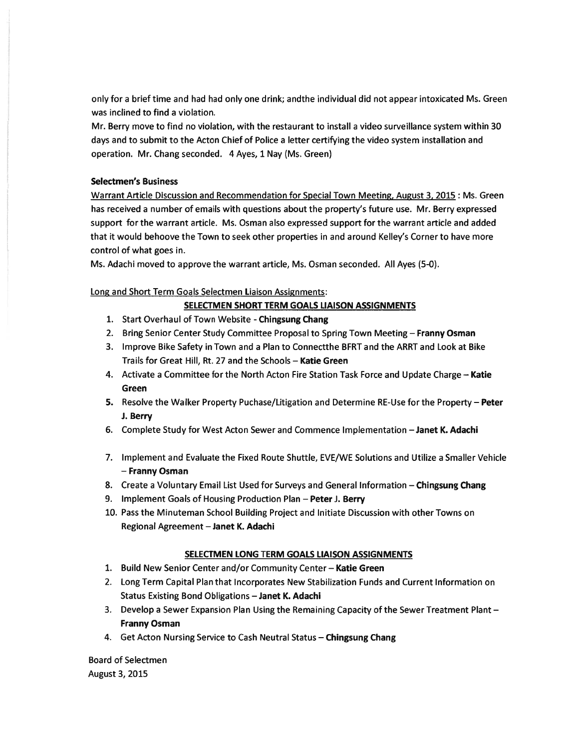only for <sup>a</sup> brief time and had had only one drink; andthe individual did not appear intoxicated Ms. Green was inclined to find <sup>a</sup> violation.

Mr. Berry move to find no violation, with the restaurant to install <sup>a</sup> video surveillance system within 30 days and to submit to the Acton Chief of Police <sup>a</sup> letter certifying the video system installation and operation. Mr. Chang seconded. 4 Ayes, 1 Nay (Ms. Green)

# Selectmen's Business

Warrant Article Discussion and Recommendation for Special Town Meeting, August 3, 2015 : Ms. Green has received <sup>a</sup> number of emails with questions about the property's future use. Mr. Berry expressed suppor<sup>t</sup> for the warrant article. Ms. Osman also expressed suppor<sup>t</sup> for the warrant article and added that it would behoove the Town to seek other properties in and around Kelley's Corner to have more control of what goes in.

Ms. Adachi moved to approve the warrant article, Ms. Osman seconded. All Ayes (5-0).

# Long and Short Term Goals Selectmen Liaison Assignments:

# SELECTMEN SHORT TERM GOALS LIAISON ASSIGNMENTS

- 1. Start Overhaul of Town Website -Chingsung Chang
- 2. Bring Senior Center Study Committee Proposal to Spring Town Meeting Franny Osman
- 3. Improve Bike Safety in Town and <sup>a</sup> Plan to Connectthe BERT and the ARRT and Look at Bike Trails for Great Hill, Rt. 27 and the Schools — Katie Green
- 4. Activate a Committee for the North Acton Fire Station Task Force and Update Charge Katie Green
- 5. Resolve the Walker Property Puchase/Litigation and Determine RE-Use for the Property Peter J. Berry
- 6. Complete Study for West Acton Sewer and Commence Implementation —Janet K. Adachi
- 7. Implement and Evaluate the Fixed Route Shuttle, EVE/WE Solutions and Utilize <sup>a</sup> Smaller Vehicle — Franny Osman
- 8. Create a Voluntary Email List Used for Surveys and General Information Chingsung Chang
- 9. Implement Goals of Housing Production Plan Peter J. Berry
- 10. Pass the Minuteman School Building Project and Initiate Discussion with other Towns on Regional Agreement —Janet K. Adachi

### SELECTMEN LONG TERM GOALS LIAISON ASSIGNMENTS

- 1. Build New Senior Center and/or Community Center Katie Green
- 2. Long Term Capital Plan that Incorporates New Stabilization Funds and Current Information on Status Existing Bond Obligations —Janet K. Adachi
- 3. Develop <sup>a</sup> Sewer Expansion Plan Using the Remaining Capacity of the Sewer Treatment Plant Franny Osman
- 4. Get Acton Nursing Service to Cash Neutral Status Chingsung Chang

Board of Selectmen August 3, 2015